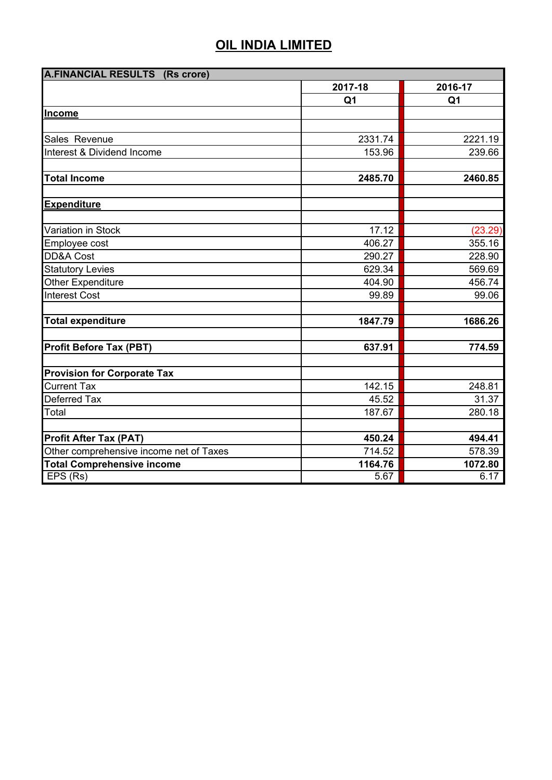| <b>A.FINANCIAL RESULTS (Rs crore)</b>   |                |                |  |
|-----------------------------------------|----------------|----------------|--|
|                                         | 2017-18        | 2016-17        |  |
|                                         | Q <sub>1</sub> | Q <sub>1</sub> |  |
| <b>Income</b>                           |                |                |  |
|                                         |                |                |  |
| Sales Revenue                           | 2331.74        | 2221.19        |  |
| Interest & Dividend Income              | 153.96         | 239.66         |  |
|                                         |                |                |  |
| <b>Total Income</b>                     | 2485.70        | 2460.85        |  |
|                                         |                |                |  |
| <b>Expenditure</b>                      |                |                |  |
|                                         |                |                |  |
| Variation in Stock                      | 17.12          | (23.29)        |  |
| Employee cost                           | 406.27         | 355.16         |  |
| <b>DD&amp;A Cost</b>                    | 290.27         | 228.90         |  |
| <b>Statutory Levies</b>                 | 629.34         | 569.69         |  |
| Other Expenditure                       | 404.90         | 456.74         |  |
| <b>Interest Cost</b>                    | 99.89          | 99.06          |  |
|                                         |                |                |  |
| <b>Total expenditure</b>                | 1847.79        | 1686.26        |  |
|                                         |                |                |  |
| <b>Profit Before Tax (PBT)</b>          | 637.91         | 774.59         |  |
|                                         |                |                |  |
| <b>Provision for Corporate Tax</b>      |                |                |  |
| <b>Current Tax</b>                      | 142.15         | 248.81         |  |
| Deferred Tax                            | 45.52          | 31.37          |  |
| Total                                   | 187.67         | 280.18         |  |
|                                         |                |                |  |
| <b>Profit After Tax (PAT)</b>           | 450.24         | 494.41         |  |
| Other comprehensive income net of Taxes | 714.52         | 578.39         |  |
| <b>Total Comprehensive income</b>       | 1164.76        | 1072.80        |  |
| EPS (Rs)                                | 5.67           | 6.17           |  |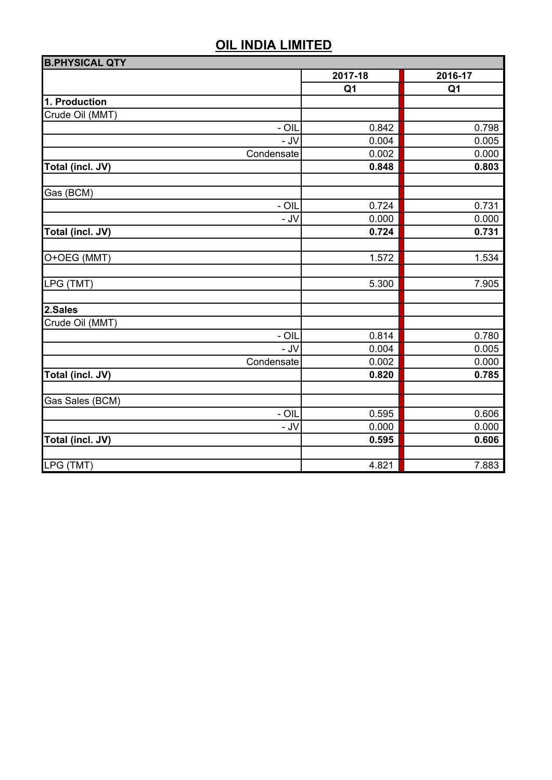| <b>B.PHYSICAL QTY</b> |                |                |
|-----------------------|----------------|----------------|
|                       | 2017-18        | 2016-17        |
|                       | Q <sub>1</sub> | Q <sub>1</sub> |
| 1. Production         |                |                |
| Crude Oil (MMT)       |                |                |
| $-$ OIL               | 0.842          | 0.798          |
| - JV                  | 0.004          | 0.005          |
| Condensate            | 0.002          | 0.000          |
| Total (incl. JV)      | 0.848          | 0.803          |
| Gas (BCM)             |                |                |
| $- OIL$               | 0.724          | 0.731          |
| - JV                  | 0.000          | 0.000          |
| Total (incl. JV)      | 0.724          | 0.731          |
| O+OEG (MMT)           | 1.572          | 1.534          |
| LPG (TMT)             | 5.300          | 7.905          |
|                       |                |                |
| 2.Sales               |                |                |
| Crude Oil (MMT)       |                |                |
| $- OIL$               | 0.814          | 0.780          |
| - JV                  | 0.004          | 0.005          |
| Condensate            | 0.002          | 0.000          |
| Total (incl. JV)      | 0.820          | 0.785          |
| Gas Sales (BCM)       |                |                |
| $- OIL$               | 0.595          | 0.606          |
| - JV                  | 0.000          | 0.000          |
| Total (incl. JV)      | 0.595          | 0.606          |
| LPG (TMT)             | 4.821          | 7.883          |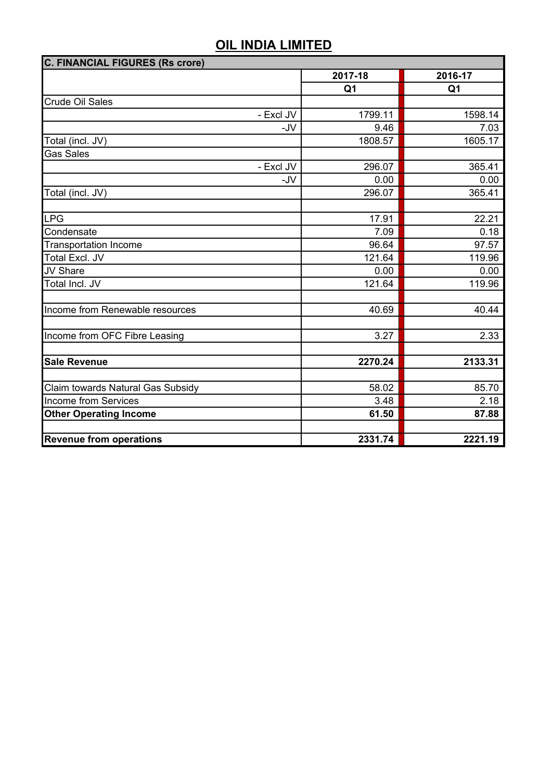| <b>C. FINANCIAL FIGURES (Rs crore)</b> |                |                |  |
|----------------------------------------|----------------|----------------|--|
|                                        | 2017-18        | 2016-17        |  |
|                                        | Q <sub>1</sub> | Q <sub>1</sub> |  |
| <b>Crude Oil Sales</b>                 |                |                |  |
| - Excl JV                              | 1799.11        | 1598.14        |  |
| -JV                                    | 9.46           | 7.03           |  |
| Total (incl. JV)                       | 1808.57        | 1605.17        |  |
| <b>Gas Sales</b>                       |                |                |  |
| - Excl JV                              | 296.07         | 365.41         |  |
| -JV                                    | 0.00           | 0.00           |  |
| Total (incl. JV)                       | 296.07         | 365.41         |  |
|                                        |                |                |  |
| <b>LPG</b>                             | 17.91          | 22.21          |  |
| Condensate                             | 7.09           | 0.18           |  |
| <b>Transportation Income</b>           | 96.64          | 97.57          |  |
| Total Excl. JV                         | 121.64         | 119.96         |  |
| JV Share                               | 0.00           | 0.00           |  |
| Total Incl. JV                         | 121.64         | 119.96         |  |
|                                        |                |                |  |
| Income from Renewable resources        | 40.69          | 40.44          |  |
|                                        |                |                |  |
| Income from OFC Fibre Leasing          | 3.27           | 2.33           |  |
|                                        |                |                |  |
| <b>Sale Revenue</b>                    | 2270.24        | 2133.31        |  |
|                                        |                |                |  |
| Claim towards Natural Gas Subsidy      | 58.02          | 85.70          |  |
| <b>Income from Services</b>            | 3.48           | 2.18           |  |
| <b>Other Operating Income</b>          | 61.50          | 87.88          |  |
|                                        |                |                |  |
| <b>Revenue from operations</b>         | 2331.74        | 2221.19        |  |